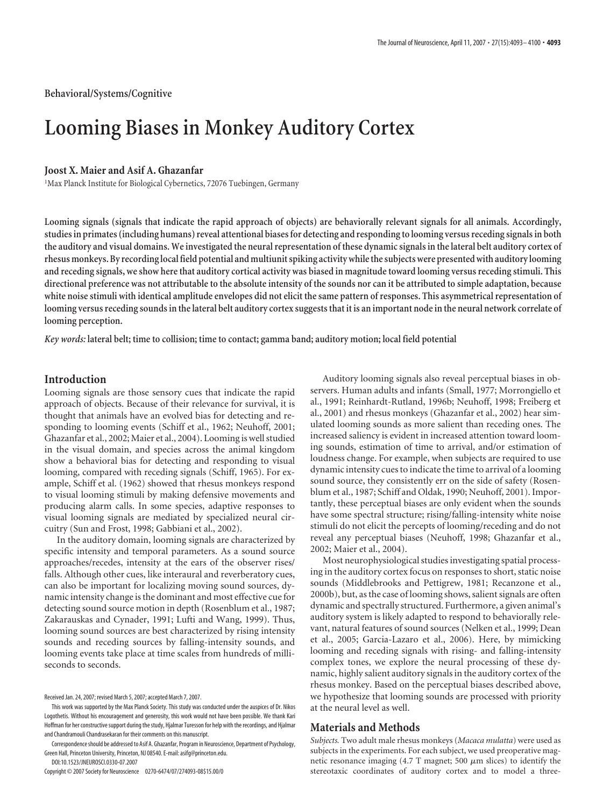**Behavioral/Systems/Cognitive**

# **Looming Biases in Monkey Auditory Cortex**

# **Joost X. Maier and Asif A. Ghazanfar**

<sup>1</sup>Max Planck Institute for Biological Cybernetics, 72076 Tuebingen, Germany

**Looming signals (signals that indicate the rapid approach of objects) are behaviorally relevant signals for all animals. Accordingly, studies in primates (including humans) reveal attentional biases for detecting and respondingto looming versus receding signals in both the auditory and visual domains. We investigated the neural representation of these dynamic signals in the lateral belt auditory cortex of rhesus monkeys. By recording localfield potential and multiunit spiking activity whilethe subjects were presented with auditory looming and receding signals, we show here that auditory cortical activity was biased in magnitude toward looming versus receding stimuli. This directional preference was not attributable to the absolute intensity of the sounds nor can it be attributed to simple adaptation, because white noise stimuli with identical amplitude envelopes did not elicit the same pattern of responses. This asymmetrical representation of looming versus receding sounds in the lateral belt auditory cortex suggests that it is an important node in the neural network correlate of looming perception.**

*Key words:* **lateral belt; time to collision; time to contact; gamma band; auditory motion; local field potential**

# **Introduction**

Looming signals are those sensory cues that indicate the rapid approach of objects. Because of their relevance for survival, it is thought that animals have an evolved bias for detecting and responding to looming events (Schiff et al., 1962; Neuhoff, 2001; Ghazanfar et al., 2002; Maier et al., 2004). Looming is well studied in the visual domain, and species across the animal kingdom show a behavioral bias for detecting and responding to visual looming, compared with receding signals (Schiff, 1965). For example, Schiff et al. (1962) showed that rhesus monkeys respond to visual looming stimuli by making defensive movements and producing alarm calls. In some species, adaptive responses to visual looming signals are mediated by specialized neural circuitry (Sun and Frost, 1998; Gabbiani et al., 2002).

In the auditory domain, looming signals are characterized by specific intensity and temporal parameters. As a sound source approaches/recedes, intensity at the ears of the observer rises/ falls. Although other cues, like interaural and reverberatory cues, can also be important for localizing moving sound sources, dynamic intensity change is the dominant and most effective cue for detecting sound source motion in depth (Rosenblum et al., 1987; Zakarauskas and Cynader, 1991; Lufti and Wang, 1999). Thus, looming sound sources are best characterized by rising intensity sounds and receding sources by falling-intensity sounds, and looming events take place at time scales from hundreds of milliseconds to seconds.

Received Jan. 24, 2007; revised March 5, 2007; accepted March 7, 2007.

DOI:10.1523/JNEUROSCI.0330-07.2007

Copyright © 2007 Society for Neuroscience 0270-6474/07/274093-08\$15.00/0

Auditory looming signals also reveal perceptual biases in observers. Human adults and infants (Small, 1977; Morrongiello et al., 1991; Reinhardt-Rutland, 1996b; Neuhoff, 1998; Freiberg et al., 2001) and rhesus monkeys (Ghazanfar et al., 2002) hear simulated looming sounds as more salient than receding ones. The increased saliency is evident in increased attention toward looming sounds, estimation of time to arrival, and/or estimation of loudness change. For example, when subjects are required to use dynamic intensity cues to indicate the time to arrival of a looming sound source, they consistently err on the side of safety (Rosenblum et al., 1987; Schiff and Oldak, 1990; Neuhoff, 2001). Importantly, these perceptual biases are only evident when the sounds have some spectral structure; rising/falling-intensity white noise stimuli do not elicit the percepts of looming/receding and do not reveal any perceptual biases (Neuhoff, 1998; Ghazanfar et al., 2002; Maier et al., 2004).

Most neurophysiological studies investigating spatial processing in the auditory cortex focus on responses to short, static noise sounds (Middlebrooks and Pettigrew, 1981; Recanzone et al., 2000b), but, as the case of looming shows, salient signals are often dynamic and spectrally structured. Furthermore, a given animal's auditory system is likely adapted to respond to behaviorally relevant, natural features of sound sources (Nelken et al., 1999; Dean et al., 2005; Garcia-Lazaro et al., 2006). Here, by mimicking looming and receding signals with rising- and falling-intensity complex tones, we explore the neural processing of these dynamic, highly salient auditory signals in the auditory cortex of the rhesus monkey. Based on the perceptual biases described above, we hypothesize that looming sounds are processed with priority at the neural level as well.

### **Materials and Methods**

*Subjects.* Two adult male rhesus monkeys (*Macaca mulatta*) were used as subjects in the experiments. For each subject, we used preoperative magnetic resonance imaging (4.7 T magnet; 500  $\mu$ m slices) to identify the stereotaxic coordinates of auditory cortex and to model a three-

This work was supported by the Max Planck Society. This study was conducted under the auspices of Dr. Nikos Logothetis. Without his encouragement and generosity, this work would not have been possible. We thank Kari Hoffman for her constructive support during the study, Hjalmar Turesson for help with the recordings, and Hjalmar and Chandramouli Chandrasekaran for their comments on this manuscript.

Correspondenceshould be addressed to Asif A. Ghazanfar, Program in Neuroscience, Department of Psychology, Green Hall, Princeton University, Princeton, NJ 08540. E-mail: asifg@princeton.edu.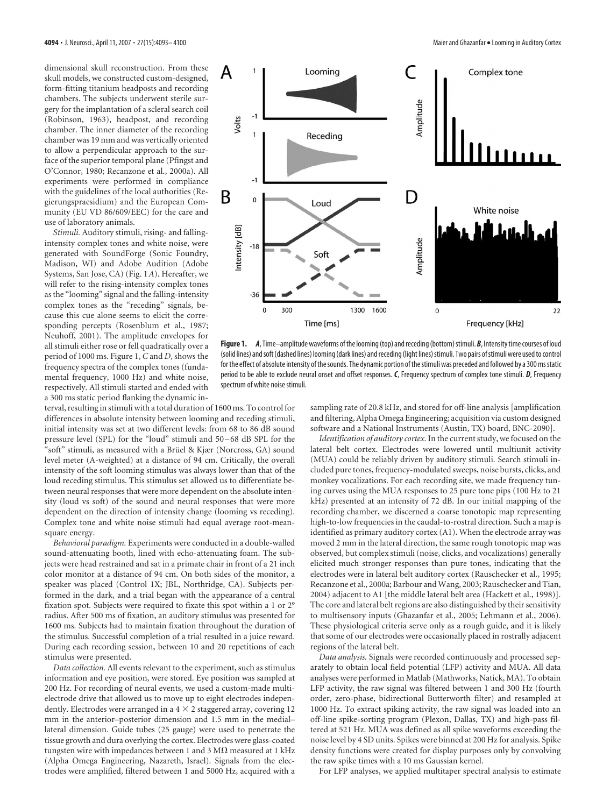dimensional skull reconstruction. From these skull models, we constructed custom-designed, form-fitting titanium headposts and recording chambers. The subjects underwent sterile surgery for the implantation of a scleral search coil (Robinson, 1963), headpost, and recording chamber. The inner diameter of the recording chamber was 19 mm and was vertically oriented to allow a perpendicular approach to the surface of the superior temporal plane (Pfingst and O'Connor, 1980; Recanzone et al., 2000a). All experiments were performed in compliance with the guidelines of the local authorities (Regierungspraesidium) and the European Community (EU VD 86/609/EEC) for the care and use of laboratory animals.

*Stimuli.* Auditory stimuli, rising- and fallingintensity complex tones and white noise, were generated with SoundForge (Sonic Foundry, Madison, WI) and Adobe Audition (Adobe Systems, San Jose, CA) (Fig. 1*A*). Hereafter, we will refer to the rising-intensity complex tones as the "looming" signal and the falling-intensity complex tones as the "receding" signals, because this cue alone seems to elicit the corresponding percepts (Rosenblum et al., 1987; Neuhoff, 2001). The amplitude envelopes for all stimuli either rose or fell quadratically over a period of 1000 ms. Figure 1, *C* and *D*, shows the frequency spectra of the complex tones (fundamental frequency, 1000 Hz) and white noise, respectively. All stimuli started and ended with a 300 ms static period flanking the dynamic in-

terval, resulting in stimuli with a total duration of 1600 ms. To control for differences in absolute intensity between looming and receding stimuli, initial intensity was set at two different levels: from 68 to 86 dB sound pressure level (SPL) for the "loud" stimuli and 50 – 68 dB SPL for the "soft" stimuli, as measured with a Brüel & Kjær (Norcross, GA) sound level meter (A-weighted) at a distance of 94 cm. Critically, the overall intensity of the soft looming stimulus was always lower than that of the loud receding stimulus. This stimulus set allowed us to differentiate between neural responses that were more dependent on the absolute intensity (loud vs soft) of the sound and neural responses that were more dependent on the direction of intensity change (looming vs receding). Complex tone and white noise stimuli had equal average root-meansquare energy.

*Behavioral paradigm.* Experiments were conducted in a double-walled sound-attenuating booth, lined with echo-attenuating foam. The subjects were head restrained and sat in a primate chair in front of a 21 inch color monitor at a distance of 94 cm. On both sides of the monitor, a speaker was placed (Control 1X; JBL, Northridge, CA). Subjects performed in the dark, and a trial began with the appearance of a central fixation spot. Subjects were required to fixate this spot within a 1 or 2° radius. After 500 ms of fixation, an auditory stimulus was presented for 1600 ms. Subjects had to maintain fixation throughout the duration of the stimulus. Successful completion of a trial resulted in a juice reward. During each recording session, between 10 and 20 repetitions of each stimulus were presented.

*Data collection.* All events relevant to the experiment, such as stimulus information and eye position, were stored. Eye position was sampled at 200 Hz. For recording of neural events, we used a custom-made multielectrode drive that allowed us to move up to eight electrodes independently. Electrodes were arranged in a  $4 \times 2$  staggered array, covering 12 mm in the anterior–posterior dimension and 1.5 mm in the medial– lateral dimension. Guide tubes (25 gauge) were used to penetrate the tissue growth and dura overlying the cortex. Electrodes were glass-coated tungsten wire with impedances between 1 and 3 M $\Omega$  measured at 1 kHz (Alpha Omega Engineering, Nazareth, Israel). Signals from the electrodes were amplified, filtered between 1 and 5000 Hz, acquired with a



Figure 1. A, Time-amplitude waveforms of the looming (top) and receding (bottom) stimuli. B, Intensity time courses of loud (solid lines) and soft (dashed lines) looming (dark lines) and receding (light lines) stimuli. Two pairs of stimuli were used to control for the effect of absolute intensity of the sounds. The dynamic portion of the stimuli was preceded and followed by a 300 ms static period to be able to exclude neural onset and offset responses. *C*, Frequency spectrum of complex tone stimuli. *D*, Frequency spectrum of white noise stimuli.

sampling rate of 20.8 kHz, and stored for off-line analysis [amplification and filtering, Alpha Omega Engineering; acquisition via custom designed software and a National Instruments (Austin, TX) board, BNC-2090].

*Identification of auditory cortex.*In the current study, we focused on the lateral belt cortex. Electrodes were lowered until multiunit activity (MUA) could be reliably driven by auditory stimuli. Search stimuli included pure tones, frequency-modulated sweeps, noise bursts, clicks, and monkey vocalizations. For each recording site, we made frequency tuning curves using the MUA responses to 25 pure tone pips (100 Hz to 21 kHz) presented at an intensity of 72 dB. In our initial mapping of the recording chamber, we discerned a coarse tonotopic map representing high-to-low frequencies in the caudal-to-rostral direction. Such a map is identified as primary auditory cortex (A1). When the electrode array was moved 2 mm in the lateral direction, the same rough tonotopic map was observed, but complex stimuli (noise, clicks, and vocalizations) generally elicited much stronger responses than pure tones, indicating that the electrodes were in lateral belt auditory cortex (Rauschecker et al., 1995; Recanzone et al., 2000a; Barbour and Wang, 2003; Rauschecker and Tian, 2004) adjacent to A1 [the middle lateral belt area (Hackett et al., 1998)]. The core and lateral belt regions are also distinguished by their sensitivity to multisensory inputs (Ghazanfar et al., 2005; Lehmann et al., 2006). These physiological criteria serve only as a rough guide, and it is likely that some of our electrodes were occasionally placed in rostrally adjacent regions of the lateral belt.

*Data analysis.* Signals were recorded continuously and processed separately to obtain local field potential (LFP) activity and MUA. All data analyses were performed in Matlab (Mathworks, Natick, MA). To obtain LFP activity, the raw signal was filtered between 1 and 300 Hz (fourth order, zero-phase, bidirectional Butterworth filter) and resampled at 1000 Hz. To extract spiking activity, the raw signal was loaded into an off-line spike-sorting program (Plexon, Dallas, TX) and high-pass filtered at 521 Hz. MUA was defined as all spike waveforms exceeding the noise level by 4 SD units. Spikes were binned at 200 Hz for analysis. Spike density functions were created for display purposes only by convolving the raw spike times with a 10 ms Gaussian kernel.

For LFP analyses, we applied multitaper spectral analysis to estimate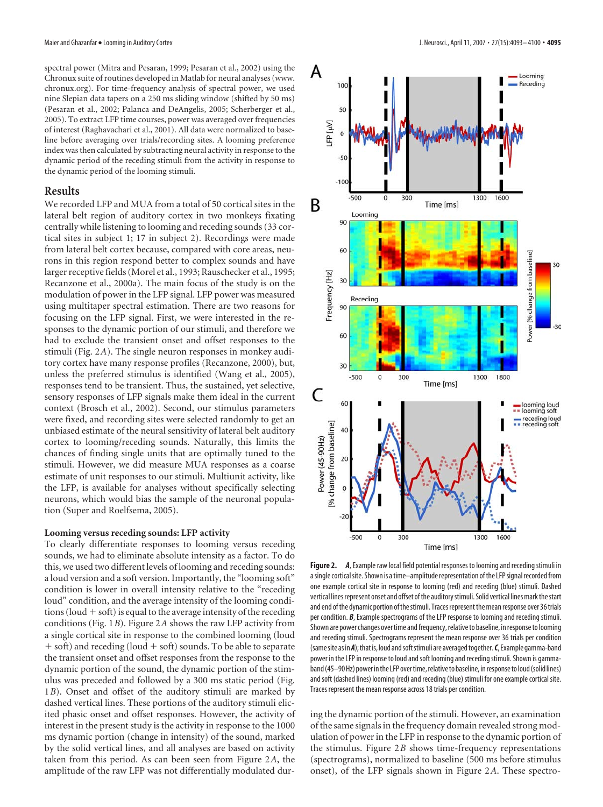spectral power (Mitra and Pesaran, 1999; Pesaran et al., 2002) using the Chronux suite of routines developed in Matlab for neural analyses (www. chronux.org). For time-frequency analysis of spectral power, we used nine Slepian data tapers on a 250 ms sliding window (shifted by 50 ms) (Pesaran et al., 2002; Palanca and DeAngelis, 2005; Scherberger et al., 2005). To extract LFP time courses, power was averaged over frequencies of interest (Raghavachari et al., 2001). All data were normalized to baseline before averaging over trials/recording sites. A looming preference index was then calculated by subtracting neural activity in response to the dynamic period of the receding stimuli from the activity in response to the dynamic period of the looming stimuli.

## **Results**

We recorded LFP and MUA from a total of 50 cortical sites in the lateral belt region of auditory cortex in two monkeys fixating centrally while listening to looming and receding sounds (33 cortical sites in subject 1; 17 in subject 2). Recordings were made from lateral belt cortex because, compared with core areas, neurons in this region respond better to complex sounds and have larger receptive fields (Morel et al., 1993; Rauschecker et al., 1995; Recanzone et al., 2000a). The main focus of the study is on the modulation of power in the LFP signal. LFP power was measured using multitaper spectral estimation. There are two reasons for focusing on the LFP signal. First, we were interested in the responses to the dynamic portion of our stimuli, and therefore we had to exclude the transient onset and offset responses to the stimuli (Fig. 2*A*). The single neuron responses in monkey auditory cortex have many response profiles (Recanzone, 2000), but, unless the preferred stimulus is identified (Wang et al., 2005), responses tend to be transient. Thus, the sustained, yet selective, sensory responses of LFP signals make them ideal in the current context (Brosch et al., 2002). Second, our stimulus parameters were fixed, and recording sites were selected randomly to get an unbiased estimate of the neural sensitivity of lateral belt auditory cortex to looming/receding sounds. Naturally, this limits the chances of finding single units that are optimally tuned to the stimuli. However, we did measure MUA responses as a coarse estimate of unit responses to our stimuli. Multiunit activity, like the LFP, is available for analyses without specifically selecting neurons, which would bias the sample of the neuronal population (Super and Roelfsema, 2005).

## **Looming versus receding sounds: LFP activity**

To clearly differentiate responses to looming versus receding sounds, we had to eliminate absolute intensity as a factor. To do this, we used two different levels of looming and receding sounds: a loud version and a soft version. Importantly, the "looming soft" condition is lower in overall intensity relative to the "receding loud" condition, and the average intensity of the looming conditions (loud  $+$  soft) is equal to the average intensity of the receding conditions (Fig. 1*B*). Figure 2*A* shows the raw LFP activity from a single cortical site in response to the combined looming (loud  $+$  soft) and receding (loud  $+$  soft) sounds. To be able to separate the transient onset and offset responses from the response to the dynamic portion of the sound, the dynamic portion of the stimulus was preceded and followed by a 300 ms static period (Fig. 1*B*). Onset and offset of the auditory stimuli are marked by dashed vertical lines. These portions of the auditory stimuli elicited phasic onset and offset responses. However, the activity of interest in the present study is the activity in response to the 1000 ms dynamic portion (change in intensity) of the sound, marked by the solid vertical lines, and all analyses are based on activity taken from this period. As can been seen from Figure 2*A*, the amplitude of the raw LFP was not differentially modulated dur-



**Figure 2.** *A*, Example raw local field potential responses to looming and receding stimuli in a single cortical site. Shown is a time–amplitude representation of the LFP signal recorded from one example cortical site in response to looming (red) and receding (blue) stimuli. Dashed vertical lines represent onset and offset of the auditory stimuli. Solid vertical lines mark the start and end of the dynamic portion of the stimuli. Traces represent the mean response over 36 trials per condition. *B*, Example spectrograms of the LFP response to looming and receding stimuli. Shown are power changes over time and frequency, relative to baseline, in response to looming and receding stimuli. Spectrograms represent the mean response over 36 trials per condition (same site as in A); that is, loud and soft stimuli are averaged together. C, Example gamma-band power in the LFP in response to loud and soft looming and receding stimuli. Shown is gammaband (45–90 Hz) power in the LFP over time, relative to baseline, in response to loud (solid lines) and soft (dashed lines) looming (red) and receding (blue) stimuli for one example cortical site. Traces represent the mean response across 18 trials per condition.

ing the dynamic portion of the stimuli. However, an examination of the same signals in the frequency domain revealed strong modulation of power in the LFP in response to the dynamic portion of the stimulus. Figure 2*B* shows time-frequency representations (spectrograms), normalized to baseline (500 ms before stimulus onset), of the LFP signals shown in Figure 2*A*. These spectro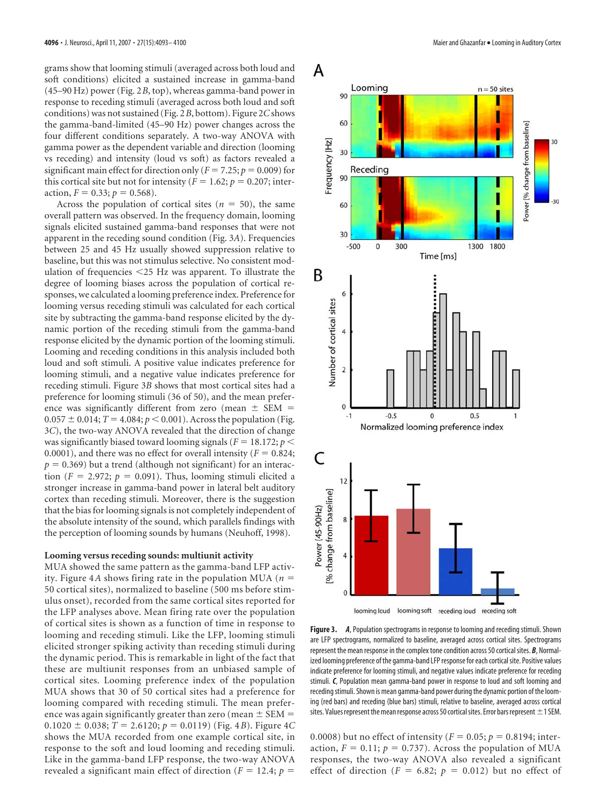grams show that looming stimuli (averaged across both loud and soft conditions) elicited a sustained increase in gamma-band (45–90 Hz) power (Fig. 2*B*, top), whereas gamma-band power in response to receding stimuli (averaged across both loud and soft conditions) was not sustained (Fig. 2*B*, bottom). Figure 2*C*shows the gamma-band-limited (45–90 Hz) power changes across the four different conditions separately. A two-way ANOVA with gamma power as the dependent variable and direction (looming vs receding) and intensity (loud vs soft) as factors revealed a significant main effect for direction only ( $F = 7.25$ ;  $p = 0.009$ ) for this cortical site but not for intensity ( $F = 1.62$ ;  $p = 0.207$ ; interaction,  $F = 0.33$ ;  $p = 0.568$ ).

Across the population of cortical sites  $(n = 50)$ , the same overall pattern was observed. In the frequency domain, looming signals elicited sustained gamma-band responses that were not apparent in the receding sound condition (Fig. 3*A*). Frequencies between 25 and 45 Hz usually showed suppression relative to baseline, but this was not stimulus selective. No consistent modulation of frequencies 25 Hz was apparent. To illustrate the degree of looming biases across the population of cortical responses, we calculated a looming preference index. Preference for looming versus receding stimuli was calculated for each cortical site by subtracting the gamma-band response elicited by the dynamic portion of the receding stimuli from the gamma-band response elicited by the dynamic portion of the looming stimuli. Looming and receding conditions in this analysis included both loud and soft stimuli. A positive value indicates preference for looming stimuli, and a negative value indicates preference for receding stimuli. Figure 3*B* shows that most cortical sites had a preference for looming stimuli (36 of 50), and the mean preference was significantly different from zero (mean  $\pm$  SEM =  $0.057 \pm 0.014$ ;  $T = 4.084$ ;  $p < 0.001$ ). Across the population (Fig. 3*C*), the two-way ANOVA revealed that the direction of change was significantly biased toward looming signals ( $F = 18.172$ ;  $p <$ 0.0001), and there was no effect for overall intensity ( $F = 0.824$ ;  $p = 0.369$ ) but a trend (although not significant) for an interaction ( $F = 2.972$ ;  $p = 0.091$ ). Thus, looming stimuli elicited a stronger increase in gamma-band power in lateral belt auditory cortex than receding stimuli. Moreover, there is the suggestion that the bias for looming signals is not completely independent of the absolute intensity of the sound, which parallels findings with the perception of looming sounds by humans (Neuhoff, 1998).

#### **Looming versus receding sounds: multiunit activity**

MUA showed the same pattern as the gamma-band LFP activity. Figure 4*A* shows firing rate in the population MUA (*n* 50 cortical sites), normalized to baseline (500 ms before stimulus onset), recorded from the same cortical sites reported for the LFP analyses above. Mean firing rate over the population of cortical sites is shown as a function of time in response to looming and receding stimuli. Like the LFP, looming stimuli elicited stronger spiking activity than receding stimuli during the dynamic period. This is remarkable in light of the fact that these are multiunit responses from an unbiased sample of cortical sites. Looming preference index of the population MUA shows that 30 of 50 cortical sites had a preference for looming compared with receding stimuli. The mean preference was again significantly greater than zero (mean  $\pm$  SEM =  $0.1020 \pm 0.038$ ;  $T = 2.6120$ ;  $p = 0.0119$ ) (Fig. 4*B*). Figure 4*C* shows the MUA recorded from one example cortical site, in response to the soft and loud looming and receding stimuli. Like in the gamma-band LFP response, the two-way ANOVA revealed a significant main effect of direction ( $F = 12.4$ ;  $p =$ 



**Figure 3.** *A*, Population spectrograms in response to looming and receding stimuli. Shown are LFP spectrograms, normalized to baseline, averaged across cortical sites. Spectrograms represent the mean response in the complex tone condition across 50 cortical sites. *B*, Normalized looming preference of the gamma-band LFP response for each cortical site. Positive values indicate preference for looming stimuli, and negative values indicate preference for receding stimuli. *C*, Population mean gamma-band power in response to loud and soft looming and recedingstimuli. Shown is mean gamma-band power during the dynamic portion of the looming (red bars) and receding (blue bars) stimuli, relative to baseline, averaged across cortical sites. Values represent the mean response across 50 cortical sites. Error bars represent  $\pm$  1 SEM.

0.0008) but no effect of intensity ( $F = 0.05$ ;  $p = 0.8194$ ; interaction,  $F = 0.11$ ;  $p = 0.737$ ). Across the population of MUA responses, the two-way ANOVA also revealed a significant effect of direction ( $F = 6.82$ ;  $p = 0.012$ ) but no effect of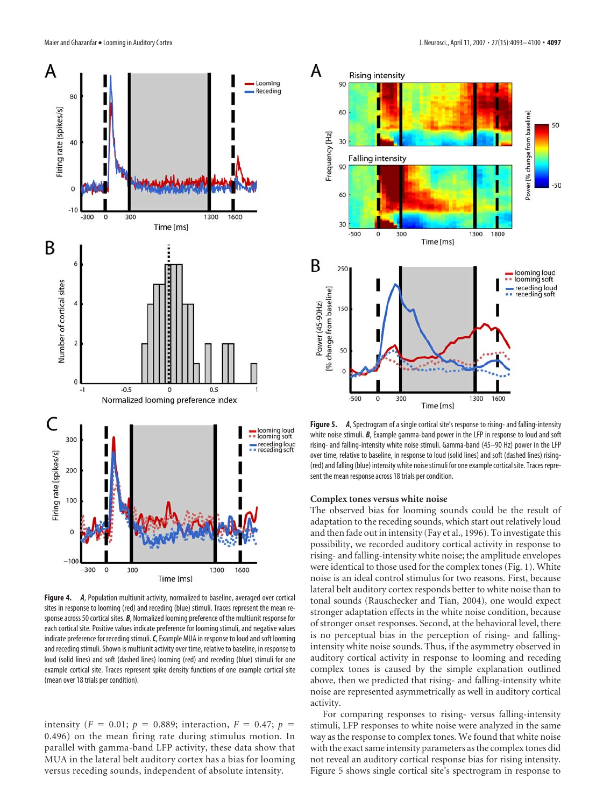

**Figure 4.** *A*, Population multiunit activity, normalized to baseline, averaged over cortical sites in response to looming (red) and receding (blue) stimuli. Traces represent the mean response across 50 cortical sites. *B*, Normalized looming preference of the multiunit response for each cortical site. Positive values indicate preference for looming stimuli, and negative values indicate preference for receding stimuli.*C*, Example MUA in response to loud and soft looming and receding stimuli. Shown is multiunit activity over time, relative to baseline, in response to loud (solid lines) and soft (dashed lines) looming (red) and receding (blue) stimuli for one example cortical site. Traces represent spike density functions of one example cortical site (mean over 18 trials per condition).

intensity ( $F = 0.01$ ;  $p = 0.889$ ; interaction,  $F = 0.47$ ;  $p =$ 0.496) on the mean firing rate during stimulus motion. In parallel with gamma-band LFP activity, these data show that MUA in the lateral belt auditory cortex has a bias for looming versus receding sounds, independent of absolute intensity.



**Figure 5.** *A*, Spectrogram of a single cortical site's response to rising- and falling-intensity white noise stimuli. **B**, Example gamma-band power in the LFP in response to loud and soft rising- and falling-intensity white noise stimuli. Gamma-band (45–90 Hz) power in the LFP over time, relative to baseline, in response to loud (solid lines) and soft (dashed lines) rising- (red) and falling (blue) intensity white noise stimuli for one example cortical site. Traces represent the mean response across 18 trials per condition.

#### **Complex tones versus white noise**

The observed bias for looming sounds could be the result of adaptation to the receding sounds, which start out relatively loud and then fade out in intensity (Fay et al., 1996). To investigate this possibility, we recorded auditory cortical activity in response to rising- and falling-intensity white noise; the amplitude envelopes were identical to those used for the complex tones (Fig. 1). White noise is an ideal control stimulus for two reasons. First, because lateral belt auditory cortex responds better to white noise than to tonal sounds (Rauschecker and Tian, 2004), one would expect stronger adaptation effects in the white noise condition, because of stronger onset responses. Second, at the behavioral level, there is no perceptual bias in the perception of rising- and fallingintensity white noise sounds. Thus, if the asymmetry observed in auditory cortical activity in response to looming and receding complex tones is caused by the simple explanation outlined above, then we predicted that rising- and falling-intensity white noise are represented asymmetrically as well in auditory cortical activity.

For comparing responses to rising- versus falling-intensity stimuli, LFP responses to white noise were analyzed in the same way as the response to complex tones. We found that white noise with the exact same intensity parameters as the complex tones did not reveal an auditory cortical response bias for rising intensity. Figure 5 shows single cortical site's spectrogram in response to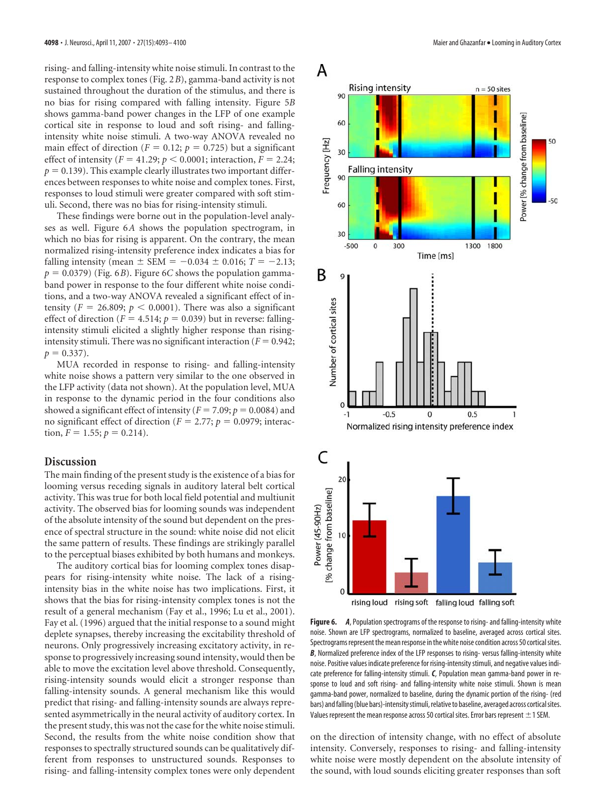rising- and falling-intensity white noise stimuli. In contrast to the response to complex tones (Fig. 2*B*), gamma-band activity is not sustained throughout the duration of the stimulus, and there is no bias for rising compared with falling intensity. Figure 5*B* shows gamma-band power changes in the LFP of one example cortical site in response to loud and soft rising- and fallingintensity white noise stimuli. A two-way ANOVA revealed no main effect of direction ( $F = 0.12$ ;  $p = 0.725$ ) but a significant effect of intensity ( $F = 41.29$ ;  $p < 0.0001$ ; interaction,  $F = 2.24$ ;  $p = 0.139$ ). This example clearly illustrates two important differences between responses to white noise and complex tones. First, responses to loud stimuli were greater compared with soft stimuli. Second, there was no bias for rising-intensity stimuli.

These findings were borne out in the population-level analyses as well. Figure 6*A* shows the population spectrogram, in which no bias for rising is apparent. On the contrary, the mean normalized rising-intensity preference index indicates a bias for falling intensity (mean  $\pm$  SEM = -0.034  $\pm$  0.016; *T* = -2.13;  $p = 0.0379$ ) (Fig. 6*B*). Figure 6*C* shows the population gammaband power in response to the four different white noise conditions, and a two-way ANOVA revealed a significant effect of intensity ( $F = 26.809$ ;  $p < 0.0001$ ). There was also a significant effect of direction ( $F = 4.514$ ;  $p = 0.039$ ) but in reverse: fallingintensity stimuli elicited a slightly higher response than risingintensity stimuli. There was no significant interaction ( $F = 0.942$ ;  $p = 0.337$ .

MUA recorded in response to rising- and falling-intensity white noise shows a pattern very similar to the one observed in the LFP activity (data not shown). At the population level, MUA in response to the dynamic period in the four conditions also showed a significant effect of intensity ( $F = 7.09$ ;  $p = 0.0084$ ) and no significant effect of direction ( $F = 2.77$ ;  $p = 0.0979$ ; interaction,  $F = 1.55$ ;  $p = 0.214$ ).

# **Discussion**

The main finding of the present study is the existence of a bias for looming versus receding signals in auditory lateral belt cortical activity. This was true for both local field potential and multiunit activity. The observed bias for looming sounds was independent of the absolute intensity of the sound but dependent on the presence of spectral structure in the sound: white noise did not elicit the same pattern of results. These findings are strikingly parallel to the perceptual biases exhibited by both humans and monkeys.

The auditory cortical bias for looming complex tones disappears for rising-intensity white noise. The lack of a risingintensity bias in the white noise has two implications. First, it shows that the bias for rising-intensity complex tones is not the result of a general mechanism (Fay et al., 1996; Lu et al., 2001). Fay et al. (1996) argued that the initial response to a sound might deplete synapses, thereby increasing the excitability threshold of neurons. Only progressively increasing excitatory activity, in response to progressively increasing sound intensity, would then be able to move the excitation level above threshold. Consequently, rising-intensity sounds would elicit a stronger response than falling-intensity sounds. A general mechanism like this would predict that rising- and falling-intensity sounds are always represented asymmetrically in the neural activity of auditory cortex. In the present study, this was not the case for the white noise stimuli. Second, the results from the white noise condition show that responses to spectrally structured sounds can be qualitatively different from responses to unstructured sounds. Responses to rising- and falling-intensity complex tones were only dependent



**Figure 6.** *A*, Population spectrograms of the response to rising- and falling-intensity white noise. Shown are LFP spectrograms, normalized to baseline, averaged across cortical sites. Spectrograms represent the mean response in the white noise condition across 50 cortical sites. **B**, Normalized preference index of the LFP responses to rising-versus falling-intensity white noise. Positive values indicate preference for rising-intensity stimuli, and negative values indicate preference for falling-intensity stimuli. *C*, Population mean gamma-band power in response to loud and soft rising- and falling-intensity white noise stimuli. Shown is mean gamma-band power, normalized to baseline, during the dynamic portion of the rising- (red bars) and falling (blue bars)-intensity stimuli, relative to baseline, averaged across cortical sites. Values represent the mean response across 50 cortical sites. Error bars represent  $\pm$  1 SEM.

on the direction of intensity change, with no effect of absolute intensity. Conversely, responses to rising- and falling-intensity white noise were mostly dependent on the absolute intensity of the sound, with loud sounds eliciting greater responses than soft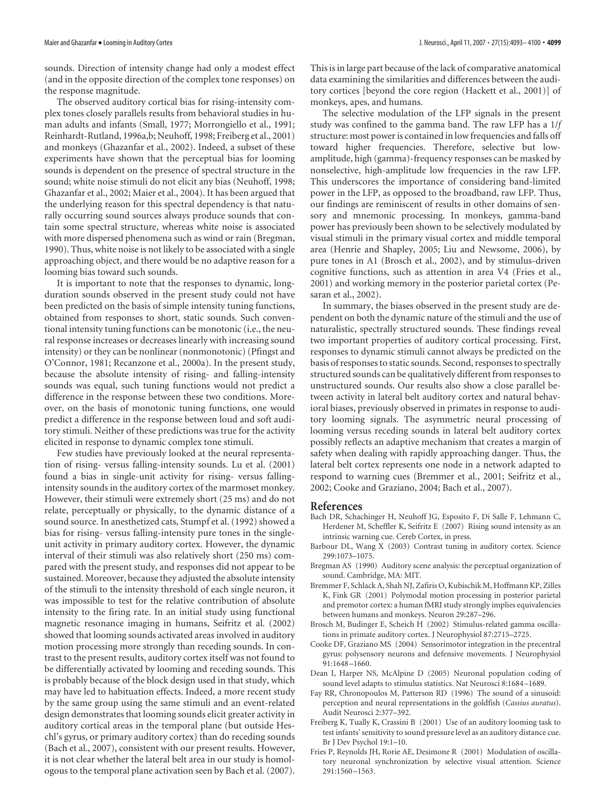sounds. Direction of intensity change had only a modest effect (and in the opposite direction of the complex tone responses) on the response magnitude.

The observed auditory cortical bias for rising-intensity complex tones closely parallels results from behavioral studies in human adults and infants (Small, 1977; Morrongiello et al., 1991; Reinhardt-Rutland, 1996a,b; Neuhoff, 1998; Freiberg et al., 2001) and monkeys (Ghazanfar et al., 2002). Indeed, a subset of these experiments have shown that the perceptual bias for looming sounds is dependent on the presence of spectral structure in the sound; white noise stimuli do not elicit any bias (Neuhoff, 1998; Ghazanfar et al., 2002; Maier et al., 2004). It has been argued that the underlying reason for this spectral dependency is that naturally occurring sound sources always produce sounds that contain some spectral structure, whereas white noise is associated with more dispersed phenomena such as wind or rain (Bregman, 1990). Thus, white noise is not likely to be associated with a single approaching object, and there would be no adaptive reason for a looming bias toward such sounds.

It is important to note that the responses to dynamic, longduration sounds observed in the present study could not have been predicted on the basis of simple intensity tuning functions, obtained from responses to short, static sounds. Such conventional intensity tuning functions can be monotonic (i.e., the neural response increases or decreases linearly with increasing sound intensity) or they can be nonlinear (nonmonotonic) (Pfingst and O'Connor, 1981; Recanzone et al., 2000a). In the present study, because the absolute intensity of rising- and falling-intensity sounds was equal, such tuning functions would not predict a difference in the response between these two conditions. Moreover, on the basis of monotonic tuning functions, one would predict a difference in the response between loud and soft auditory stimuli. Neither of these predictions was true for the activity elicited in response to dynamic complex tone stimuli.

Few studies have previously looked at the neural representation of rising- versus falling-intensity sounds. Lu et al. (2001) found a bias in single-unit activity for rising- versus fallingintensity sounds in the auditory cortex of the marmoset monkey. However, their stimuli were extremely short (25 ms) and do not relate, perceptually or physically, to the dynamic distance of a sound source. In anesthetized cats, Stumpf et al. (1992) showed a bias for rising- versus falling-intensity pure tones in the singleunit activity in primary auditory cortex. However, the dynamic interval of their stimuli was also relatively short (250 ms) compared with the present study, and responses did not appear to be sustained. Moreover, because they adjusted the absolute intensity of the stimuli to the intensity threshold of each single neuron, it was impossible to test for the relative contribution of absolute intensity to the firing rate. In an initial study using functional magnetic resonance imaging in humans, Seifritz et al. (2002) showed that looming sounds activated areas involved in auditory motion processing more strongly than receding sounds. In contrast to the present results, auditory cortex itself was not found to be differentially activated by looming and receding sounds. This is probably because of the block design used in that study, which may have led to habituation effects. Indeed, a more recent study by the same group using the same stimuli and an event-related design demonstrates that looming sounds elicit greater activity in auditory cortical areas in the temporal plane (but outside Heschl's gyrus, or primary auditory cortex) than do receding sounds (Bach et al., 2007), consistent with our present results. However, it is not clear whether the lateral belt area in our study is homologous to the temporal plane activation seen by Bach et al. (2007).

This is in large part because of the lack of comparative anatomical data examining the similarities and differences between the auditory cortices [beyond the core region (Hackett et al., 2001)] of monkeys, apes, and humans.

The selective modulation of the LFP signals in the present study was confined to the gamma band. The raw LFP has a 1/*f* structure: most power is contained in low frequencies and falls off toward higher frequencies. Therefore, selective but lowamplitude, high (gamma)-frequency responses can be masked by nonselective, high-amplitude low frequencies in the raw LFP. This underscores the importance of considering band-limited power in the LFP, as opposed to the broadband, raw LFP. Thus, our findings are reminiscent of results in other domains of sensory and mnemonic processing. In monkeys, gamma-band power has previously been shown to be selectively modulated by visual stimuli in the primary visual cortex and middle temporal area (Henrie and Shapley, 2005; Liu and Newsome, 2006), by pure tones in A1 (Brosch et al., 2002), and by stimulus-driven cognitive functions, such as attention in area V4 (Fries et al., 2001) and working memory in the posterior parietal cortex (Pesaran et al., 2002).

In summary, the biases observed in the present study are dependent on both the dynamic nature of the stimuli and the use of naturalistic, spectrally structured sounds. These findings reveal two important properties of auditory cortical processing. First, responses to dynamic stimuli cannot always be predicted on the basis of responses to static sounds. Second, responses to spectrally structured sounds can be qualitatively different from responses to unstructured sounds. Our results also show a close parallel between activity in lateral belt auditory cortex and natural behavioral biases, previously observed in primates in response to auditory looming signals. The asymmetric neural processing of looming versus receding sounds in lateral belt auditory cortex possibly reflects an adaptive mechanism that creates a margin of safety when dealing with rapidly approaching danger. Thus, the lateral belt cortex represents one node in a network adapted to respond to warning cues (Bremmer et al., 2001; Seifritz et al., 2002; Cooke and Graziano, 2004; Bach et al., 2007).

#### **References**

- Bach DR, Schachinger H, Neuhoff JG, Esposito F, Di Salle F, Lehmann C, Herdener M, Scheffler K, Seifritz E (2007) Rising sound intensity as an intrinsic warning cue. Cereb Cortex, in press.
- Barbour DL, Wang X (2003) Contrast tuning in auditory cortex. Science 299:1073–1075.
- Bregman AS (1990) Auditory scene analysis: the perceptual organization of sound. Cambridge, MA: MIT.
- Bremmer F, Schlack A, Shah NJ, Zafiris O, Kubischik M, Hoffmann KP, Zilles K, Fink GR (2001) Polymodal motion processing in posterior parietal and premotor cortex: a human fMRI study strongly implies equivalencies between humans and monkeys. Neuron 29:287–296.
- Brosch M, Budinger E, Scheich H (2002) Stimulus-related gamma oscillations in primate auditory cortex. J Neurophysiol 87:2715–2725.
- Cooke DF, Graziano MS (2004) Sensorimotor integration in the precentral gyrus: polysensory neurons and defensive movements. J Neurophysiol 91:1648 –1660.
- Dean I, Harper NS, McAlpine D (2005) Neuronal population coding of sound level adapts to stimulus statistics. Nat Neurosci 8:1684 –1689.
- Fay RR, Chronopoulos M, Patterson RD (1996) The sound of a sinusoid: perception and neural representations in the goldfish (*Cassius auratus*). Audit Neurosci 2:377–392.
- Freiberg K, Tually K, Crassini B (2001) Use of an auditory looming task to test infants' sensitivity to sound pressure level as an auditory distance cue. Br J Dev Psychol 19:1–10.
- Fries P, Reynolds JH, Rorie AE, Desimone R (2001) Modulation of oscillatory neuronal synchronization by selective visual attention. Science 291:1560 –1563.